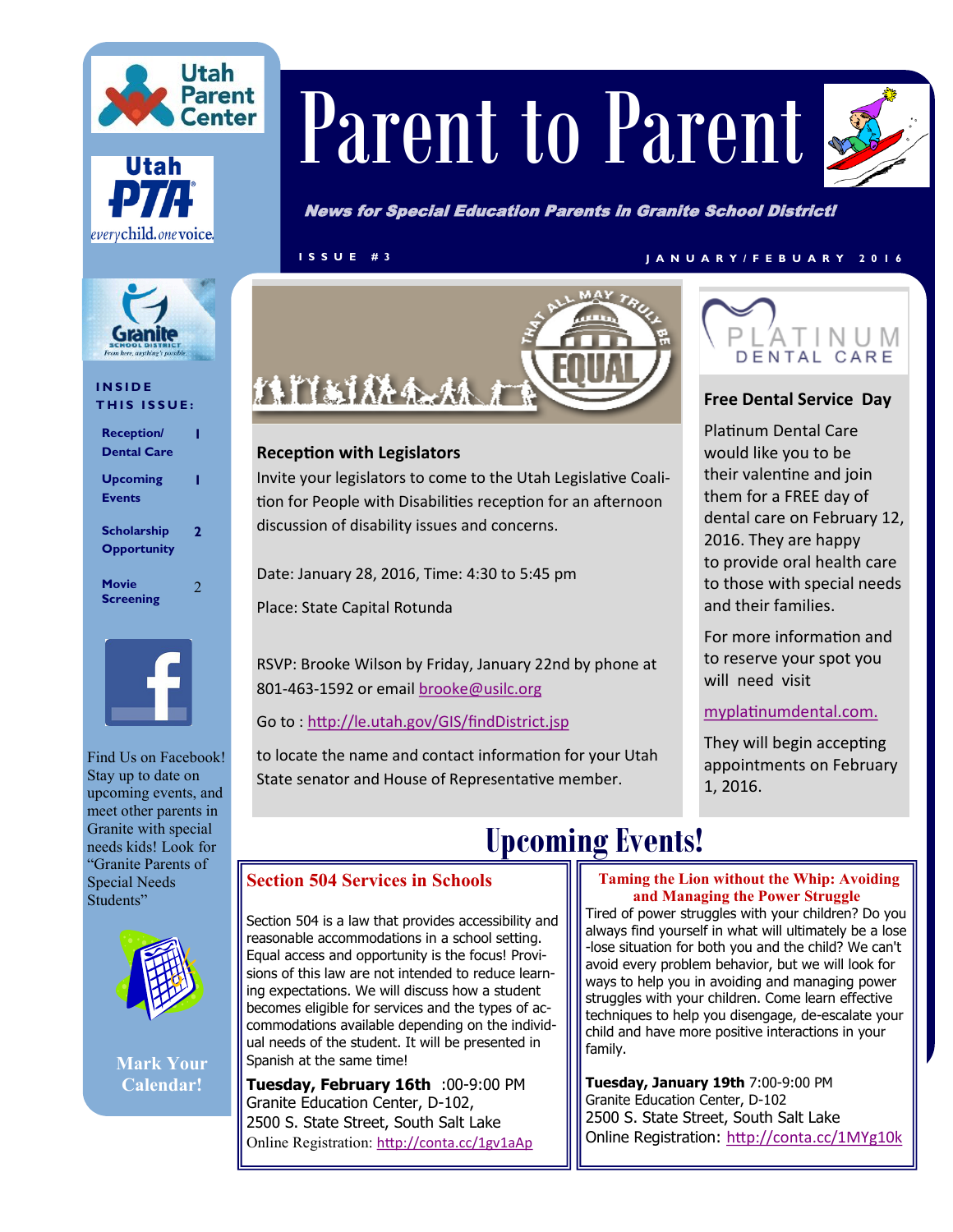





### **I N S I D E THIS ISSUE:**

| <b>Reception/</b><br><b>Dental Care</b>  |   |
|------------------------------------------|---|
| <b>Upcoming</b><br><b>Events</b>         |   |
| <b>Scholarship</b><br><b>Opportunity</b> | 2 |
| Movie<br><b>Screening</b>                |   |



Find Us on Facebook! Stay up to date on upcoming events, and meet other parents in Granite with special needs kids! Look for "Granite Parents of Special Needs Students"



**Mark Your Calendar!**

# Parent to Parent



News for Special Education Parents in Granite School District!

### **I S S U E # 3 J A N U A R Y / F E B U A R Y 2 0 1 6**



Invite your legislators to come to the Utah Legislative Coalition for People with Disabilities reception for an afternoon

RSVP: Brooke Wilson by Friday, January 22nd by phone at

to locate the name and contact information for your Utah State senator and House of Representative member.



### **Free Dental Service Day**

Platinum Dental Care would like you to be their valentine and join them for a FREE day of dental care on February 12, 2016. They are happy to provide oral health care to those with special needs and their families.

For more information and to reserve your spot you will need visit

### <myplatinumdental.com>[.](Free%20Dental%20Service)

They will begin accepting appointments on February 1, 2016.

discussion of disability issues and concerns.

Date: January 28, 2016, Time: 4:30 to 5:45 pm

801-463-1592 or email [brooke@usilc.org](mailto:brooke@usilc.org)

Go to : <http://le.utah.gov/GIS/findDistrict.jsp>

**Reception with Legislators**

Place: State Capital Rotunda

# **Upcoming Events!**

### **Section 504 Services in Schools**

Section 504 is a law that provides accessibility and reasonable accommodations in a school setting. Equal access and opportunity is the focus! Provisions of this law are not intended to reduce learning expectations. We will discuss how a student becomes eligible for services and the types of accommodations available depending on the individual needs of the student. It will be presented in Spanish at the same time!

**Tuesday, February 16th** :00-9:00 PM Granite Education Center, D-102, 2500 S. State Street, South Salt Lake Online Registration: <http://conta.cc/1gv1aAp>

### **[T](http://conta.cc/1OTrsaY)aming the Lion without the Whip: Avoiding and Managing the Power Struggle**

Tired of power struggles with your children? Do you always find yourself in what will ultimately be a lose -lose situation for both you and the child? We can't avoid every problem behavior, but we will look for ways to help you in avoiding and managing power struggles with your children. Come learn effective techniques to help you disengage, de-escalate your child and have more positive interactions in your family.

**Tuesday, January 19th** 7:00-9:00 PM Granite Education Center, D-102 2500 S. State Street, South Salt Lake Online Registration: <http://conta.cc/1MYg10k>